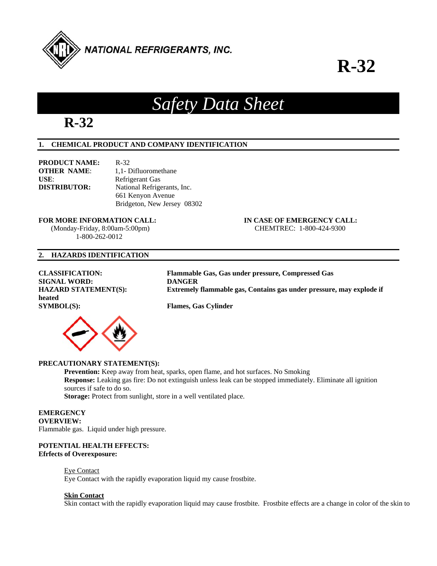

# **R-32**



# *Safety Data Sheet*

# **1. CHEMICAL PRODUCT AND COMPANY IDENTIFICATION**

| <b>PRODUCT NAME:</b> | $R - 32$                    |
|----------------------|-----------------------------|
| <b>OTHER NAME:</b>   | 1,1- Difluoromethane        |
| USE:                 | Refrigerant Gas             |
| <b>DISTRIBUTOR:</b>  | National Refrigerants, Inc. |
|                      | 661 Kenyon Avenue           |
|                      | Bridgeton, New Jersey 08302 |

# **FOR MORE INFORMATION CALL: IN CASE OF EMERGENCY CALL:**

 (Monday-Friday, 8:00am-5:00pm) CHEMTREC: 1-800-424-9300 1-800-262-0012

# **2. HAZARDS IDENTIFICATION**

**SIGNAL WORD: DANGER<br>
HAZARD STATEMENT(S): Extremely heated SYMBOL(S): Flames, Gas Cylinder** 



**CLASSIFICATION: Flammable Gas, Gas under pressure, Compressed Gas**  Extremely flammable gas, Contains gas under pressure, may explode if

# **PRECAUTIONARY STATEMENT(S):**

**Prevention:** Keep away from heat, sparks, open flame, and hot surfaces. No Smoking **Response:** Leaking gas fire: Do not extinguish unless leak can be stopped immediately. Eliminate all ignition sources if safe to do so.

Storage: Protect from sunlight, store in a well ventilated place.

#### **EMERGENCY OVERVIEW:**

Flammable gas. Liquid under high pressure.

# **POTENTIAL HEALTH EFFECTS: Efrfects of Overexposure:**

# Eye Contact

Eye Contact with the rapidly evaporation liquid my cause frostbite.

# **Skin Contact**

Skin contact with the rapidly evaporation liquid may cause frostbite. Frostbite effects are a change in color of the skin to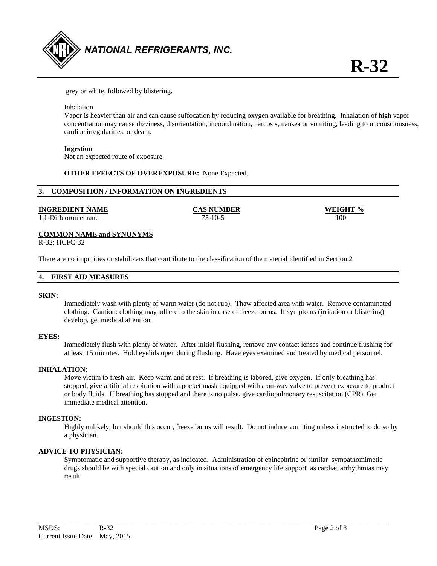

grey or white, followed by blistering.

#### Inhalation

 Vapor is heavier than air and can cause suffocation by reducing oxygen available for breathing. Inhalation of high vapor concentration may cause dizziness, disorientation, incoordination, narcosis, nausea or vomiting, leading to unconsciousness, cardiac irregularities, or death.

### **Ingestion**

Not an expected route of exposure.

### **OTHER EFFECTS OF OVEREXPOSURE:** None Expected.

### **3. COMPOSITION / INFORMATION ON INGREDIENTS**

### **INGREDIENT NAME CAS NUMBER WEIGHT %**

1,1-Difluoromethane 75-10-5 100

#### **COMMON NAME and SYNONYMS**

R-32; HCFC-32

There are no impurities or stabilizers that contribute to the classification of the material identified in Section 2

#### **4. FIRST AID MEASURES**

#### **SKIN:**

Immediately wash with plenty of warm water (do not rub). Thaw affected area with water. Remove contaminated clothing. Caution: clothing may adhere to the skin in case of freeze burns. If symptoms (irritation or blistering) develop, get medical attention.

#### **EYES:**

Immediately flush with plenty of water. After initial flushing, remove any contact lenses and continue flushing for at least 15 minutes. Hold eyelids open during flushing. Have eyes examined and treated by medical personnel.

#### **INHALATION:**

Move victim to fresh air. Keep warm and at rest. If breathing is labored, give oxygen. If only breathing has stopped, give artificial respiration with a pocket mask equipped with a on-way valve to prevent exposure to product or body fluids. If breathing has stopped and there is no pulse, give cardiopulmonary resuscitation (CPR). Get immediate medical attention.

#### **INGESTION:**

Highly unlikely, but should this occur, freeze burns will result. Do not induce vomiting unless instructed to do so by a physician.

# **ADVICE TO PHYSICIAN:**

Symptomatic and supportive therapy, as indicated. Administration of epinephrine or similar sympathomimetic drugs should be with special caution and only in situations of emergency life support as cardiac arrhythmias may result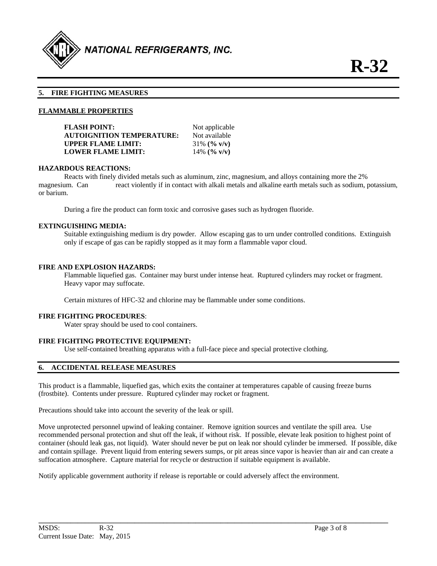

# **5. FIRE FIGHTING MEASURES**

### **FLAMMABLE PROPERTIES**

| Not applicable  |
|-----------------|
| Not available   |
| $31\%$ (% v/v)  |
| 14\% $($ % v/v) |
|                 |

#### **HAZARDOUS REACTIONS:**

Reacts with finely divided metals such as aluminum, zinc, magnesium, and alloys containing more the 2% magnesium. Can react violently if in contact with alkali metals and alkaline earth metals such as sodium, potassium, or barium.

During a fire the product can form toxic and corrosive gases such as hydrogen fluoride.

#### **EXTINGUISHING MEDIA:**

 Suitable extinguishing medium is dry powder. Allow escaping gas to urn under controlled conditions. Extinguish only if escape of gas can be rapidly stopped as it may form a flammable vapor cloud.

### **FIRE AND EXPLOSION HAZARDS:**

 Flammable liquefied gas. Container may burst under intense heat. Ruptured cylinders may rocket or fragment. Heavy vapor may suffocate.

Certain mixtures of HFC-32 and chlorine may be flammable under some conditions.

#### **FIRE FIGHTING PROCEDURES**:

Water spray should be used to cool containers.

# **FIRE FIGHTING PROTECTIVE EQUIPMENT:**

Use self-contained breathing apparatus with a full-face piece and special protective clothing.

# **6. ACCIDENTAL RELEASE MEASURES**

This product is a flammable, liquefied gas, which exits the container at temperatures capable of causing freeze burns (frostbite). Contents under pressure. Ruptured cylinder may rocket or fragment.

Precautions should take into account the severity of the leak or spill.

Move unprotected personnel upwind of leaking container. Remove ignition sources and ventilate the spill area. Use recommended personal protection and shut off the leak, if without risk. If possible, elevate leak position to highest point of container (should leak gas, not liquid). Water should never be put on leak nor should cylinder be immersed. If possible, dike and contain spillage. Prevent liquid from entering sewers sumps, or pit areas since vapor is heavier than air and can create a suffocation atmosphere. Capture material for recycle or destruction if suitable equipment is available.

**\_\_\_\_\_\_\_\_\_\_\_\_\_\_\_\_\_\_\_\_\_\_\_\_\_\_\_\_\_\_\_\_\_\_\_\_\_\_\_\_\_\_\_\_\_\_\_\_\_\_\_\_\_\_\_\_\_\_\_\_\_\_\_\_\_\_\_\_\_\_\_\_\_\_\_\_\_\_\_\_\_\_\_\_\_\_\_\_\_\_\_\_\_\_\_\_\_\_** 

Notify applicable government authority if release is reportable or could adversely affect the environment.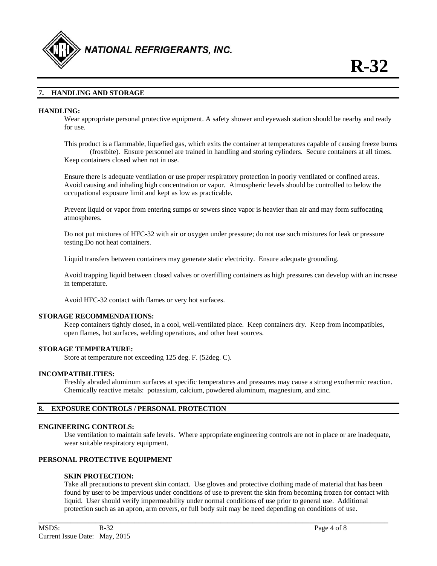

# **7. HANDLING AND STORAGE**

#### **HANDLING:**

Wear appropriate personal protective equipment. A safety shower and eyewash station should be nearby and ready for use.

This product is a flammable, liquefied gas, which exits the container at temperatures capable of causing freeze burns (frostbite). Ensure personnel are trained in handling and storing cylinders. Secure containers at all times. Keep containers closed when not in use.

Ensure there is adequate ventilation or use proper respiratory protection in poorly ventilated or confined areas. Avoid causing and inhaling high concentration or vapor. Atmospheric levels should be controlled to below the occupational exposure limit and kept as low as practicable.

Prevent liquid or vapor from entering sumps or sewers since vapor is heavier than air and may form suffocating atmospheres.

Do not put mixtures of HFC-32 with air or oxygen under pressure; do not use such mixtures for leak or pressure testing.Do not heat containers.

Liquid transfers between containers may generate static electricity. Ensure adequate grounding.

Avoid trapping liquid between closed valves or overfilling containers as high pressures can develop with an increase in temperature.

Avoid HFC-32 contact with flames or very hot surfaces.

#### **STORAGE RECOMMENDATIONS:**

Keep containers tightly closed, in a cool, well-ventilated place. Keep containers dry. Keep from incompatibles, open flames, hot surfaces, welding operations, and other heat sources.

#### **STORAGE TEMPERATURE:**

Store at temperature not exceeding 125 deg. F. (52deg. C).

# **INCOMPATIBILITIES:**

Freshly abraded aluminum surfaces at specific temperatures and pressures may cause a strong exothermic reaction. Chemically reactive metals: potassium, calcium, powdered aluminum, magnesium, and zinc.

# **8. EXPOSURE CONTROLS / PERSONAL PROTECTION**

#### **ENGINEERING CONTROLS:**

Use ventilation to maintain safe levels. Where appropriate engineering controls are not in place or are inadequate, wear suitable respiratory equipment.

# **PERSONAL PROTECTIVE EQUIPMENT**

# **SKIN PROTECTION:**

 Take all precautions to prevent skin contact. Use gloves and protective clothing made of material that has been found by user to be impervious under conditions of use to prevent the skin from becoming frozen for contact with liquid. User should verify impermeability under normal conditions of use prior to general use. Additional protection such as an apron, arm covers, or full body suit may be need depending on conditions of use.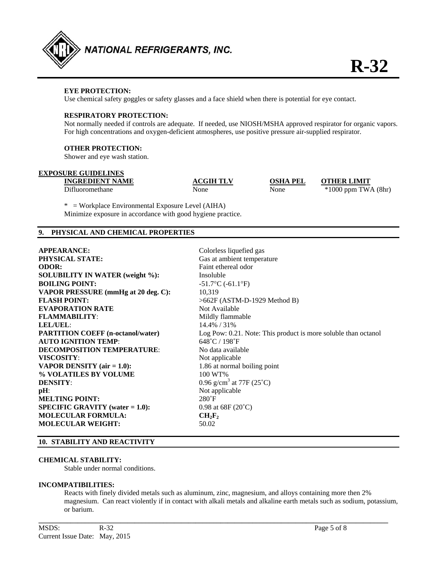

# **EYE PROTECTION:**

Use chemical safety goggles or safety glasses and a face shield when there is potential for eye contact.

#### **RESPIRATORY PROTECTION:**

 Not normally needed if controls are adequate. If needed, use NIOSH/MSHA approved respirator for organic vapors. For high concentrations and oxygen-deficient atmospheres, use positive pressure air-supplied respirator.

#### **OTHER PROTECTION:**

Shower and eye wash station.

# **EXPOSURE GUIDELINES**

**INGREDIENT NAME ACGIH TLV OSHA PEL OTHER LIMIT** 

Difluoromethane None None \*1000 ppm TWA (8hr)

\* = Workplace Environmental Exposure Level (AIHA) Minimize exposure in accordance with good hygiene practice.

# **9. PHYSICAL AND CHEMICAL PROPERTIES**

| <b>APPEARANCE:</b>                        | Colorless liquefied gas                                        |
|-------------------------------------------|----------------------------------------------------------------|
| <b>PHYSICAL STATE:</b>                    | Gas at ambient temperature                                     |
| <b>ODOR:</b>                              | Faint ethereal odor                                            |
| <b>SOLUBILITY IN WATER (weight %):</b>    | Insoluble                                                      |
| <b>BOILING POINT:</b>                     | $-51.7$ °C (-61.1°F)                                           |
| VAPOR PRESSURE (mmHg at 20 deg. C):       | 10,319                                                         |
| <b>FLASH POINT:</b>                       | >662F (ASTM-D-1929 Method B)                                   |
| <b>EVAPORATION RATE</b>                   | Not Available                                                  |
| <b>FLAMMABILITY:</b>                      | Mildly flammable                                               |
| LEL/UEL:                                  | 14.4% / 31%                                                    |
| <b>PARTITION COEFF (n-octanol/water)</b>  | Log Pow: 0.21. Note: This product is more soluble than octanol |
| <b>AUTO IGNITION TEMP:</b>                | $648^{\circ}$ C / 198 $^{\circ}$ F                             |
| <b>DECOMPOSITION TEMPERATURE:</b>         | No data available                                              |
| <b>VISCOSITY:</b>                         | Not applicable                                                 |
| <b>VAPOR DENSITY</b> ( $air = 1.0$ ):     | 1.86 at normal boiling point                                   |
| % VOLATILES BY VOLUME                     | 100 WT%                                                        |
| <b>DENSITY:</b>                           | 0.96 g/cm <sup>3</sup> at 77F (25 <sup>°</sup> C)              |
| $pH$ :                                    | Not applicable                                                 |
| <b>MELTING POINT:</b>                     | $280^{\circ}$ F                                                |
| <b>SPECIFIC GRAVITY</b> (water $= 1.0$ ): | 0.98 at $68F(20^{\circ}C)$                                     |
| <b>MOLECULAR FORMULA:</b>                 | $CH_2F_2$                                                      |
| <b>MOLECULAR WEIGHT:</b>                  | 50.02                                                          |

#### **10. STABILITY AND REACTIVITY**

# **CHEMICAL STABILITY:**

Stable under normal conditions.

#### **INCOMPATIBILITIES:**

Reacts with finely divided metals such as aluminum, zinc, magnesium, and alloys containing more then 2% magnesium. Can react violently if in contact with alkali metals and alkaline earth metals such as sodium, potassium, or barium.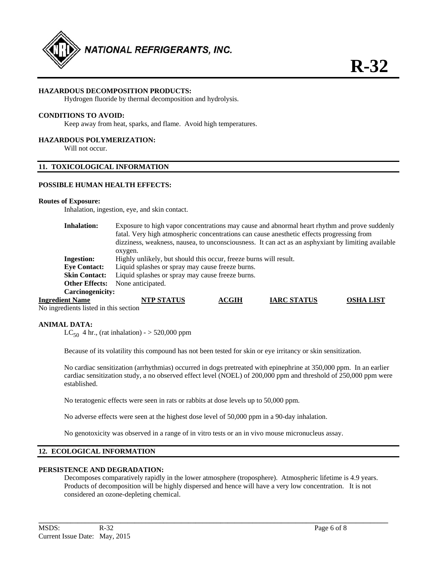

### **HAZARDOUS DECOMPOSITION PRODUCTS:**

Hydrogen fluoride by thermal decomposition and hydrolysis.

# **CONDITIONS TO AVOID:**

Keep away from heat, sparks, and flame. Avoid high temperatures.

#### **HAZARDOUS POLYMERIZATION:**

Will not occur.

# **11. TOXICOLOGICAL INFORMATION**

#### **POSSIBLE HUMAN HEALTH EFFECTS:**

#### **Routes of Exposure:**

Inhalation, ingestion, eye, and skin contact.

| <b>Inhalation:</b>      | Exposure to high vapor concentrations may cause and abnormal heart rhythm and prove suddenly<br>fatal. Very high atmospheric concentrations can cause anesthetic effects progressing from<br>dizziness, weakness, nausea, to unconsciousness. It can act as an asphyxiant by limiting available<br>oxygen. |              |                    |                  |
|-------------------------|------------------------------------------------------------------------------------------------------------------------------------------------------------------------------------------------------------------------------------------------------------------------------------------------------------|--------------|--------------------|------------------|
| <b>Ingestion:</b>       | Highly unlikely, but should this occur, freeze burns will result.                                                                                                                                                                                                                                          |              |                    |                  |
| <b>Eye Contact:</b>     | Liquid splashes or spray may cause freeze burns.                                                                                                                                                                                                                                                           |              |                    |                  |
| <b>Skin Contact:</b>    | Liquid splashes or spray may cause freeze burns.                                                                                                                                                                                                                                                           |              |                    |                  |
| <b>Other Effects:</b>   | None anticipated.                                                                                                                                                                                                                                                                                          |              |                    |                  |
| <b>Carcinogenicity:</b> |                                                                                                                                                                                                                                                                                                            |              |                    |                  |
| <b>Ingredient Name</b>  | <b>NTP STATUS</b>                                                                                                                                                                                                                                                                                          | <b>ACGIH</b> | <b>IARC STATUS</b> | <b>OSHA LIST</b> |

No ingredients listed in this section

#### **ANIMAL DATA:**

LC<sub>50</sub> 4 hr., (rat inhalation) -  $>$  520,000 ppm

Because of its volatility this compound has not been tested for skin or eye irritancy or skin sensitization.

No cardiac sensitization (arrhythmias) occurred in dogs pretreated with epinephrine at 350,000 ppm. In an earlier cardiac sensitization study, a no observed effect level (NOEL) of 200,000 ppm and threshold of 250,000 ppm were established.

No teratogenic effects were seen in rats or rabbits at dose levels up to 50,000 ppm.

No adverse effects were seen at the highest dose level of 50,000 ppm in a 90-day inhalation.

No genotoxicity was observed in a range of in vitro tests or an in vivo mouse micronucleus assay.

# **12. ECOLOGICAL INFORMATION**

#### **PERSISTENCE AND DEGRADATION:**

Decomposes comparatively rapidly in the lower atmosphere (troposphere). Atmospheric lifetime is 4.9 years. Products of decomposition will be highly dispersed and hence will have a very low concentration. It is not considered an ozone-depleting chemical.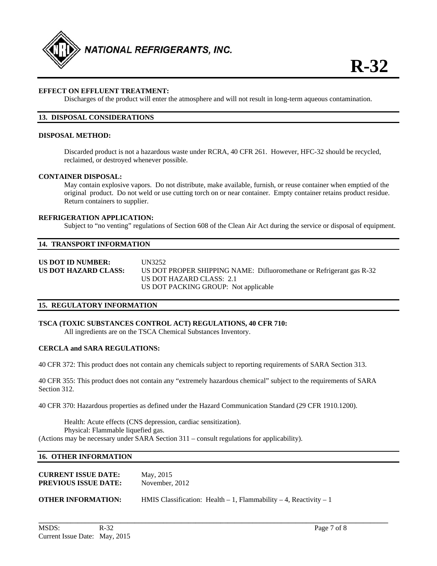

# **EFFECT ON EFFLUENT TREATMENT:**

Discharges of the product will enter the atmosphere and will not result in long-term aqueous contamination.

# **13. DISPOSAL CONSIDERATIONS**

#### **DISPOSAL METHOD:**

Discarded product is not a hazardous waste under RCRA, 40 CFR 261. However, HFC-32 should be recycled, reclaimed, or destroyed whenever possible.

#### **CONTAINER DISPOSAL:**

May contain explosive vapors. Do not distribute, make available, furnish, or reuse container when emptied of the original product. Do not weld or use cutting torch on or near container. Empty container retains product residue. Return containers to supplier.

#### **REFRIGERATION APPLICATION:**

Subject to "no venting" regulations of Section 608 of the Clean Air Act during the service or disposal of equipment.

#### **14. TRANSPORT INFORMATION**

**US DOT ID NUMBER:** UN3252 **US DOT HAZARD CLASS:** US DOT PROPER SHIPPING NAME: Difluoromethane or Refrigerant gas R-32 US DOT HAZARD CLASS: 2.1 US DOT PACKING GROUP: Not applicable

#### **15. REGULATORY INFORMATION**

### **TSCA (TOXIC SUBSTANCES CONTROL ACT) REGULATIONS, 40 CFR 710:**

All ingredients are on the TSCA Chemical Substances Inventory.

# **CERCLA and SARA REGULATIONS:**

40 CFR 372: This product does not contain any chemicals subject to reporting requirements of SARA Section 313.

40 CFR 355: This product does not contain any "extremely hazardous chemical" subject to the requirements of SARA Section 312.

40 CFR 370: Hazardous properties as defined under the Hazard Communication Standard (29 CFR 1910.1200).

 Health: Acute effects (CNS depression, cardiac sensitization). Physical: Flammable liquefied gas. (Actions may be necessary under SARA Section 311 – consult regulations for applicability).

# **16. OTHER INFORMATION**

| <b>CURRENT ISSUE DATE:</b>  | May, 2015      |
|-----------------------------|----------------|
| <b>PREVIOUS ISSUE DATE:</b> | November, 2012 |
|                             |                |

**OTHER INFORMATION:** HMIS Classification: Health – 1, Flammability – 4, Reactivity – 1